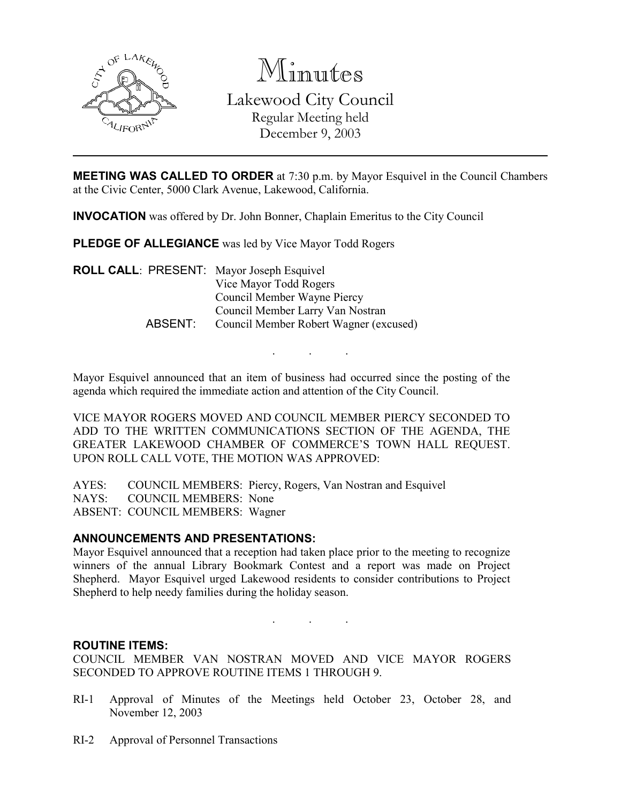

Minutes Lakewood City Council Regular Meeting held December 9, 2003

MEETING WAS CALLED TO ORDER at 7:30 p.m. by Mayor Esquivel in the Council Chambers at the Civic Center, 5000 Clark Avenue, Lakewood, California.

INVOCATION was offered by Dr. John Bonner, Chaplain Emeritus to the City Council

PLEDGE OF ALLEGIANCE was led by Vice Mayor Todd Rogers

ROLL CALL: PRESENT: Mayor Joseph Esquivel Vice Mayor Todd Rogers Council Member Wayne Piercy Council Member Larry Van Nostran ABSENT: Council Member Robert Wagner (excused)

Mayor Esquivel announced that an item of business had occurred since the posting of the agenda which required the immediate action and attention of the City Council.

. . .

VICE MAYOR ROGERS MOVED AND COUNCIL MEMBER PIERCY SECONDED TO ADD TO THE WRITTEN COMMUNICATIONS SECTION OF THE AGENDA, THE GREATER LAKEWOOD CHAMBER OF COMMERCE'S TOWN HALL REQUEST. UPON ROLL CALL VOTE, THE MOTION WAS APPROVED:

AYES: COUNCIL MEMBERS: Piercy, Rogers, Van Nostran and Esquivel NAYS: COUNCIL MEMBERS: None ABSENT: COUNCIL MEMBERS: Wagner

#### ANNOUNCEMENTS AND PRESENTATIONS:

Mayor Esquivel announced that a reception had taken place prior to the meeting to recognize winners of the annual Library Bookmark Contest and a report was made on Project Shepherd. Mayor Esquivel urged Lakewood residents to consider contributions to Project Shepherd to help needy families during the holiday season.

. . .

#### ROUTINE ITEMS:

COUNCIL MEMBER VAN NOSTRAN MOVED AND VICE MAYOR ROGERS SECONDED TO APPROVE ROUTINE ITEMS 1 THROUGH 9.

- RI-1 Approval of Minutes of the Meetings held October 23, October 28, and November 12, 2003
- RI-2 Approval of Personnel Transactions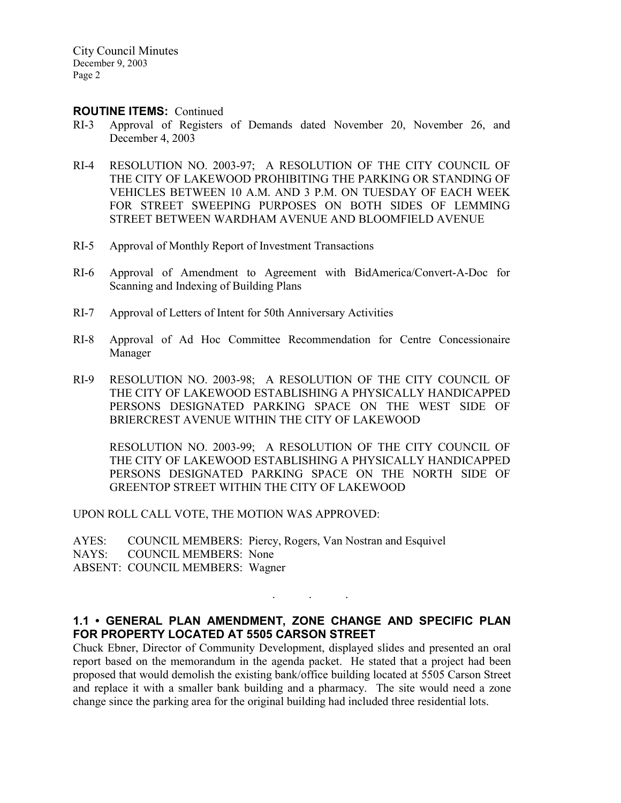City Council Minutes December 9, 2003 Page 2

#### ROUTINE ITEMS: Continued

- RI-3 Approval of Registers of Demands dated November 20, November 26, and December 4, 2003
- RI-4 RESOLUTION NO. 2003-97; A RESOLUTION OF THE CITY COUNCIL OF THE CITY OF LAKEWOOD PROHIBITING THE PARKING OR STANDING OF VEHICLES BETWEEN 10 A.M. AND 3 P.M. ON TUESDAY OF EACH WEEK FOR STREET SWEEPING PURPOSES ON BOTH SIDES OF LEMMING STREET BETWEEN WARDHAM AVENUE AND BLOOMFIELD AVENUE
- RI-5 Approval of Monthly Report of Investment Transactions
- RI-6 Approval of Amendment to Agreement with BidAmerica/Convert-A-Doc for Scanning and Indexing of Building Plans
- RI-7 Approval of Letters of Intent for 50th Anniversary Activities
- RI-8 Approval of Ad Hoc Committee Recommendation for Centre Concessionaire Manager
- RI-9 RESOLUTION NO. 2003-98; A RESOLUTION OF THE CITY COUNCIL OF THE CITY OF LAKEWOOD ESTABLISHING A PHYSICALLY HANDICAPPED PERSONS DESIGNATED PARKING SPACE ON THE WEST SIDE OF BRIERCREST AVENUE WITHIN THE CITY OF LAKEWOOD

RESOLUTION NO. 2003-99; A RESOLUTION OF THE CITY COUNCIL OF THE CITY OF LAKEWOOD ESTABLISHING A PHYSICALLY HANDICAPPED PERSONS DESIGNATED PARKING SPACE ON THE NORTH SIDE OF GREENTOP STREET WITHIN THE CITY OF LAKEWOOD

UPON ROLL CALL VOTE, THE MOTION WAS APPROVED:

AYES: COUNCIL MEMBERS: Piercy, Rogers, Van Nostran and Esquivel NAYS: COUNCIL MEMBERS: None ABSENT: COUNCIL MEMBERS: Wagner

# 1.1 • GENERAL PLAN AMENDMENT, ZONE CHANGE AND SPECIFIC PLAN FOR PROPERTY LOCATED AT 5505 CARSON STREET

. . .

Chuck Ebner, Director of Community Development, displayed slides and presented an oral report based on the memorandum in the agenda packet. He stated that a project had been proposed that would demolish the existing bank/office building located at 5505 Carson Street and replace it with a smaller bank building and a pharmacy. The site would need a zone change since the parking area for the original building had included three residential lots.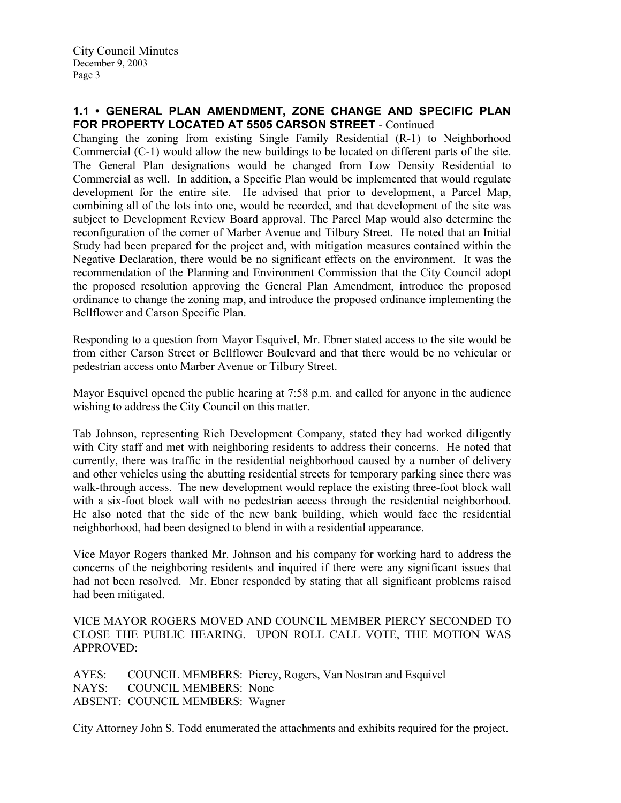#### 1.1 • GENERAL PLAN AMENDMENT, ZONE CHANGE AND SPECIFIC PLAN FOR PROPERTY LOCATED AT 5505 CARSON STREET - Continued

Changing the zoning from existing Single Family Residential (R-1) to Neighborhood Commercial (C-1) would allow the new buildings to be located on different parts of the site. The General Plan designations would be changed from Low Density Residential to Commercial as well. In addition, a Specific Plan would be implemented that would regulate development for the entire site. He advised that prior to development, a Parcel Map, combining all of the lots into one, would be recorded, and that development of the site was subject to Development Review Board approval. The Parcel Map would also determine the reconfiguration of the corner of Marber Avenue and Tilbury Street. He noted that an Initial Study had been prepared for the project and, with mitigation measures contained within the Negative Declaration, there would be no significant effects on the environment. It was the recommendation of the Planning and Environment Commission that the City Council adopt the proposed resolution approving the General Plan Amendment, introduce the proposed ordinance to change the zoning map, and introduce the proposed ordinance implementing the Bellflower and Carson Specific Plan.

Responding to a question from Mayor Esquivel, Mr. Ebner stated access to the site would be from either Carson Street or Bellflower Boulevard and that there would be no vehicular or pedestrian access onto Marber Avenue or Tilbury Street.

Mayor Esquivel opened the public hearing at 7:58 p.m. and called for anyone in the audience wishing to address the City Council on this matter.

Tab Johnson, representing Rich Development Company, stated they had worked diligently with City staff and met with neighboring residents to address their concerns. He noted that currently, there was traffic in the residential neighborhood caused by a number of delivery and other vehicles using the abutting residential streets for temporary parking since there was walk-through access. The new development would replace the existing three-foot block wall with a six-foot block wall with no pedestrian access through the residential neighborhood. He also noted that the side of the new bank building, which would face the residential neighborhood, had been designed to blend in with a residential appearance.

Vice Mayor Rogers thanked Mr. Johnson and his company for working hard to address the concerns of the neighboring residents and inquired if there were any significant issues that had not been resolved. Mr. Ebner responded by stating that all significant problems raised had been mitigated.

#### VICE MAYOR ROGERS MOVED AND COUNCIL MEMBER PIERCY SECONDED TO CLOSE THE PUBLIC HEARING. UPON ROLL CALL VOTE, THE MOTION WAS APPROVED:

AYES: COUNCIL MEMBERS: Piercy, Rogers, Van Nostran and Esquivel NAYS: COUNCIL MEMBERS: None ABSENT: COUNCIL MEMBERS: Wagner

City Attorney John S. Todd enumerated the attachments and exhibits required for the project.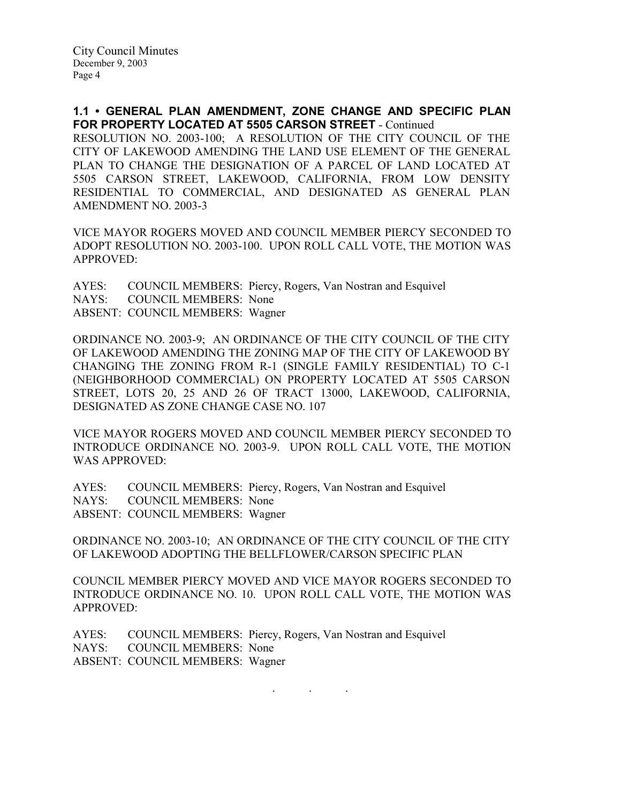1.1 • GENERAL PLAN AMENDMENT, ZONE CHANGE AND SPECIFIC PLAN FOR PROPERTY LOCATED AT 5505 CARSON STREET - Continued

RESOLUTION NO. 2003-100; A RESOLUTION OF THE CITY COUNCIL OF THE CITY OF LAKEWOOD AMENDING THE LAND USE ELEMENT OF THE GENERAL PLAN TO CHANGE THE DESIGNATION OF A PARCEL OF LAND LOCATED AT 5505 CARSON STREET, LAKEWOOD, CALIFORNIA, FROM LOW DENSITY RESIDENTIAL TO COMMERCIAL, AND DESIGNATED AS GENERAL PLAN AMENDMENT NO. 2003-3

VICE MAYOR ROGERS MOVED AND COUNCIL MEMBER PIERCY SECONDED TO ADOPT RESOLUTION NO. 2003-100. UPON ROLL CALL VOTE, THE MOTION WAS APPROVED:

AYES: COUNCIL MEMBERS: Piercy, Rogers, Van Nostran and Esquivel NAYS: COUNCIL MEMBERS: None ABSENT: COUNCIL MEMBERS: Wagner

ORDINANCE NO. 2003-9; AN ORDINANCE OF THE CITY COUNCIL OF THE CITY OF LAKEWOOD AMENDING THE ZONING MAP OF THE CITY OF LAKEWOOD BY CHANGING THE ZONING FROM R-1 (SINGLE FAMILY RESIDENTIAL) TO C-1 (NEIGHBORHOOD COMMERCIAL) ON PROPERTY LOCATED AT 5505 CARSON STREET, LOTS 20, 25 AND 26 OF TRACT 13000, LAKEWOOD, CALIFORNIA, DESIGNATED AS ZONE CHANGE CASE NO. 107

VICE MAYOR ROGERS MOVED AND COUNCIL MEMBER PIERCY SECONDED TO INTRODUCE ORDINANCE NO. 2003-9. UPON ROLL CALL VOTE, THE MOTION WAS APPROVED:

AYES: COUNCIL MEMBERS: Piercy, Rogers, Van Nostran and Esquivel NAYS: COUNCIL MEMBERS: None ABSENT: COUNCIL MEMBERS: Wagner

ORDINANCE NO. 2003-10; AN ORDINANCE OF THE CITY COUNCIL OF THE CITY OF LAKEWOOD ADOPTING THE BELLFLOWER/CARSON SPECIFIC PLAN

COUNCIL MEMBER PIERCY MOVED AND VICE MAYOR ROGERS SECONDED TO INTRODUCE ORDINANCE NO. 10. UPON ROLL CALL VOTE, THE MOTION WAS APPROVED:

AYES: COUNCIL MEMBERS: Piercy, Rogers, Van Nostran and Esquivel NAYS: COUNCIL MEMBERS: None ABSENT: COUNCIL MEMBERS: Wagner

. . .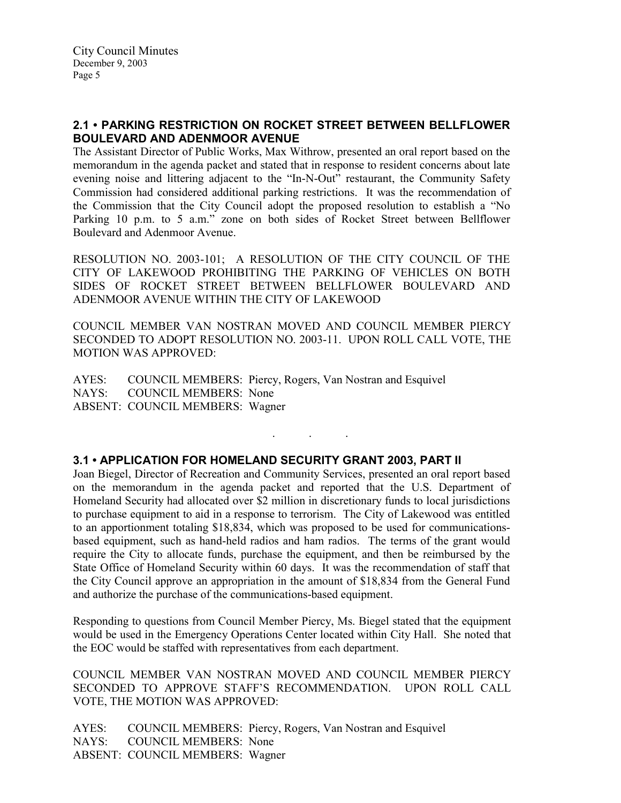# 2.1 • PARKING RESTRICTION ON ROCKET STREET BETWEEN BELLFLOWER BOULEVARD AND ADENMOOR AVENUE

The Assistant Director of Public Works, Max Withrow, presented an oral report based on the memorandum in the agenda packet and stated that in response to resident concerns about late evening noise and littering adjacent to the "In-N-Out" restaurant, the Community Safety Commission had considered additional parking restrictions. It was the recommendation of the Commission that the City Council adopt the proposed resolution to establish a "No Parking 10 p.m. to 5 a.m." zone on both sides of Rocket Street between Bellflower Boulevard and Adenmoor Avenue.

RESOLUTION NO. 2003-101; A RESOLUTION OF THE CITY COUNCIL OF THE CITY OF LAKEWOOD PROHIBITING THE PARKING OF VEHICLES ON BOTH SIDES OF ROCKET STREET BETWEEN BELLFLOWER BOULEVARD AND ADENMOOR AVENUE WITHIN THE CITY OF LAKEWOOD

COUNCIL MEMBER VAN NOSTRAN MOVED AND COUNCIL MEMBER PIERCY SECONDED TO ADOPT RESOLUTION NO. 2003-11. UPON ROLL CALL VOTE, THE MOTION WAS APPROVED:

. . .

AYES: COUNCIL MEMBERS: Piercy, Rogers, Van Nostran and Esquivel NAYS: COUNCIL MEMBERS: None ABSENT: COUNCIL MEMBERS: Wagner

## 3.1 • APPLICATION FOR HOMELAND SECURITY GRANT 2003, PART II

Joan Biegel, Director of Recreation and Community Services, presented an oral report based on the memorandum in the agenda packet and reported that the U.S. Department of Homeland Security had allocated over \$2 million in discretionary funds to local jurisdictions to purchase equipment to aid in a response to terrorism. The City of Lakewood was entitled to an apportionment totaling \$18,834, which was proposed to be used for communicationsbased equipment, such as hand-held radios and ham radios. The terms of the grant would require the City to allocate funds, purchase the equipment, and then be reimbursed by the State Office of Homeland Security within 60 days. It was the recommendation of staff that the City Council approve an appropriation in the amount of \$18,834 from the General Fund and authorize the purchase of the communications-based equipment.

Responding to questions from Council Member Piercy, Ms. Biegel stated that the equipment would be used in the Emergency Operations Center located within City Hall. She noted that the EOC would be staffed with representatives from each department.

COUNCIL MEMBER VAN NOSTRAN MOVED AND COUNCIL MEMBER PIERCY SECONDED TO APPROVE STAFF'S RECOMMENDATION. UPON ROLL CALL VOTE, THE MOTION WAS APPROVED:

AYES: COUNCIL MEMBERS: Piercy, Rogers, Van Nostran and Esquivel NAYS: COUNCIL MEMBERS: None ABSENT: COUNCIL MEMBERS: Wagner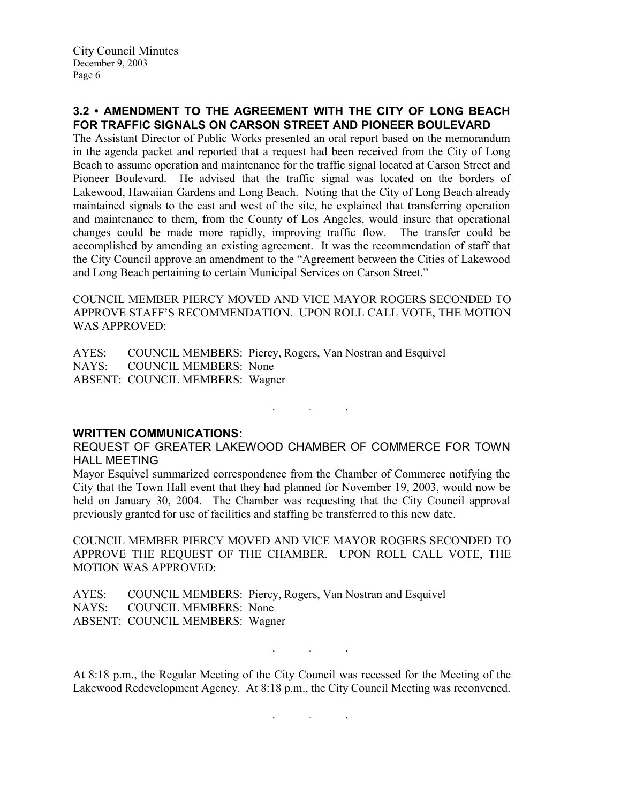## 3.2 • AMENDMENT TO THE AGREEMENT WITH THE CITY OF LONG BEACH FOR TRAFFIC SIGNALS ON CARSON STREET AND PIONEER BOULEVARD

The Assistant Director of Public Works presented an oral report based on the memorandum in the agenda packet and reported that a request had been received from the City of Long Beach to assume operation and maintenance for the traffic signal located at Carson Street and Pioneer Boulevard. He advised that the traffic signal was located on the borders of Lakewood, Hawaiian Gardens and Long Beach. Noting that the City of Long Beach already maintained signals to the east and west of the site, he explained that transferring operation and maintenance to them, from the County of Los Angeles, would insure that operational changes could be made more rapidly, improving traffic flow. The transfer could be accomplished by amending an existing agreement. It was the recommendation of staff that the City Council approve an amendment to the "Agreement between the Cities of Lakewood and Long Beach pertaining to certain Municipal Services on Carson Street."

COUNCIL MEMBER PIERCY MOVED AND VICE MAYOR ROGERS SECONDED TO APPROVE STAFF'S RECOMMENDATION. UPON ROLL CALL VOTE, THE MOTION WAS APPROVED:

AYES: COUNCIL MEMBERS: Piercy, Rogers, Van Nostran and Esquivel NAYS: COUNCIL MEMBERS: None ABSENT: COUNCIL MEMBERS: Wagner

WRITTEN COMMUNICATIONS: REQUEST OF GREATER LAKEWOOD CHAMBER OF COMMERCE FOR TOWN HALL MEETING

Mayor Esquivel summarized correspondence from the Chamber of Commerce notifying the City that the Town Hall event that they had planned for November 19, 2003, would now be held on January 30, 2004. The Chamber was requesting that the City Council approval previously granted for use of facilities and staffing be transferred to this new date.

. . .

COUNCIL MEMBER PIERCY MOVED AND VICE MAYOR ROGERS SECONDED TO APPROVE THE REQUEST OF THE CHAMBER. UPON ROLL CALL VOTE, THE MOTION WAS APPROVED:

AYES: COUNCIL MEMBERS: Piercy, Rogers, Van Nostran and Esquivel NAYS: COUNCIL MEMBERS: None ABSENT: COUNCIL MEMBERS: Wagner

At 8:18 p.m., the Regular Meeting of the City Council was recessed for the Meeting of the Lakewood Redevelopment Agency. At 8:18 p.m., the City Council Meeting was reconvened.

. . .

. . .